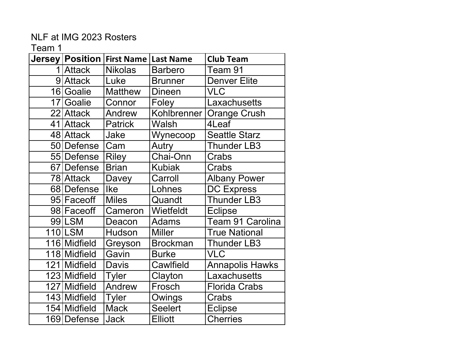|                 | Jersey   Position | <b>First Name   Last Name</b> |                 | <b>Club Team</b>       |
|-----------------|-------------------|-------------------------------|-----------------|------------------------|
|                 | 1 Attack          | <b>Nikolas</b>                | <b>Barbero</b>  | Team 91                |
|                 | 9 Attack          | Luke                          | <b>Brunner</b>  | <b>Denver Elite</b>    |
|                 | 16 Goalie         | <b>Matthew</b>                | <b>Dineen</b>   | <b>VLC</b>             |
| 17 <sup>1</sup> | Goalie            | Connor                        | Foley           | Laxachusetts           |
|                 | 22 Attack         | Andrew                        | Kohlbrenner     | <b>Orange Crush</b>    |
|                 | 41 Attack         | Patrick                       | Walsh           | 4Leaf                  |
|                 | 48 Attack         | Jake                          | Wynecoop        | <b>Seattle Starz</b>   |
|                 | 50 Defense        | Cam                           | Autry           | <b>Thunder LB3</b>     |
|                 | 55 Defense        | <b>Riley</b>                  | Chai-Onn        | Crabs                  |
|                 | 67 Defense        | <b>Brian</b>                  | <b>Kubiak</b>   | Crabs                  |
|                 | 78 Attack         | Davey                         | Carroll         | <b>Albany Power</b>    |
|                 | 68 Defense        | <b>Ike</b>                    | Lohnes          | <b>DC Express</b>      |
|                 | 95 Faceoff        | <b>Miles</b>                  | Quandt          | Thunder LB3            |
|                 | 98 Faceoff        | Cameron                       | Wietfeldt       | <b>Eclipse</b>         |
|                 | 99 LSM            | Deacon                        | <b>Adams</b>    | Team 91 Carolina       |
|                 | 110 LSM           | Hudson                        | <b>Miller</b>   | <b>True National</b>   |
|                 | 116 Midfield      | Greyson                       | <b>Brockman</b> | Thunder LB3            |
|                 | 118 Midfield      | Gavin                         | <b>Burke</b>    | <b>VLC</b>             |
|                 | 121 Midfield      | Davis                         | Cawlfield       | <b>Annapolis Hawks</b> |
|                 | 123 Midfield      | <b>Tyler</b>                  | Clayton         | Laxachusetts           |
|                 | 127 Midfield      | Andrew                        | Frosch          | <b>Florida Crabs</b>   |
|                 | 143 Midfield      | <b>Tyler</b>                  | Owings          | Crabs                  |
|                 | 154 Midfield      | <b>Mack</b>                   | <b>Seelert</b>  | <b>Eclipse</b>         |
|                 | 169   Defense     | Jack                          | <b>Elliott</b>  | <b>Cherries</b>        |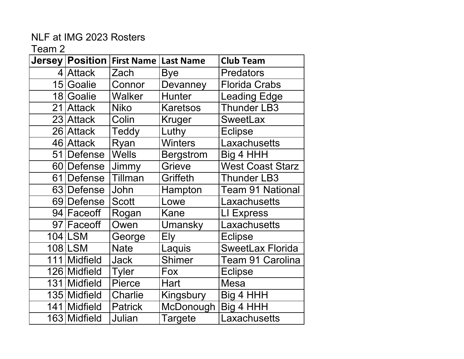| Jersey   Position | <b>First Name   Last Name</b> |                  | <b>Club Team</b>        |
|-------------------|-------------------------------|------------------|-------------------------|
| 4 Attack          | Zach                          | <b>Bye</b>       | <b>Predators</b>        |
| 15 Goalie         | Connor                        | Devanney         | <b>Florida Crabs</b>    |
| 18 Goalie         | Walker                        | <b>Hunter</b>    | <b>Leading Edge</b>     |
| 21 Attack         | <b>Niko</b>                   | <b>Karetsos</b>  | <b>Thunder LB3</b>      |
| 23 Attack         | Colin                         | Kruger           | <b>SweetLax</b>         |
| 26 Attack         | <b>Teddy</b>                  | Luthy            | <b>Eclipse</b>          |
| 46 Attack         | Ryan                          | <b>Winters</b>   | Laxachusetts            |
| 51 Defense        | <b>Wells</b>                  | <b>Bergstrom</b> | Big 4 HHH               |
| 60 Defense        | Jimmy                         | Grieve           | <b>West Coast Starz</b> |
| 61 Defense        | Tillman                       | Griffeth         | <b>Thunder LB3</b>      |
| 63 Defense        | John                          | Hampton          | <b>Team 91 National</b> |
| 69 Defense        | <b>Scott</b>                  | Lowe             | Laxachusetts            |
| 94 Faceoff        | Rogan                         | Kane             | LI Express              |
| 97 Faceoff        | Owen                          | Umansky          | Laxachusetts            |
| 104 LSM           | George                        | Ely              | <b>Eclipse</b>          |
| 108 LSM           | <b>Nate</b>                   | Laquis           | <b>SweetLax Florida</b> |
| 111 Midfield      | <b>Jack</b>                   | <b>Shimer</b>    | Team 91 Carolina        |
| 126 Midfield      | <b>Tyler</b>                  | Fox              | <b>Eclipse</b>          |
| 131 Midfield      | <b>Pierce</b>                 | Hart             | Mesa                    |
| 135 Midfield      | Charlie                       | Kingsbury        | Big 4 HHH               |
| 141 Midfield      | <b>Patrick</b>                | McDonough        | Big 4 HHH               |
| 163 Midfield      | Julian                        | Targete          | Laxachusetts            |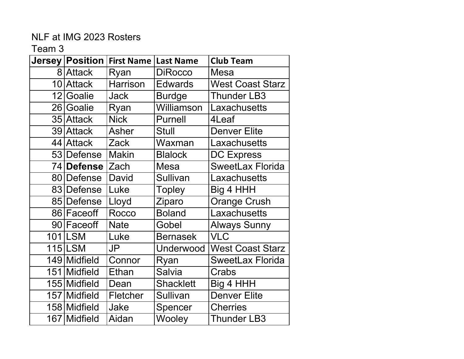| <b>Jersey</b> | <b>Position</b> | <b>First Name</b> | <b>Last Name</b> | <b>Club Team</b>        |
|---------------|-----------------|-------------------|------------------|-------------------------|
|               | 8 Attack        | Ryan              | <b>DiRocco</b>   | Mesa                    |
|               | 10 Attack       | <b>Harrison</b>   | <b>Edwards</b>   | <b>West Coast Starz</b> |
|               | 12 Goalie       | Jack              | <b>Burdge</b>    | <b>Thunder LB3</b>      |
|               | 26 Goalie       | Ryan              | Williamson       | Laxachusetts            |
|               | 35 Attack       | <b>Nick</b>       | <b>Purnell</b>   | 4Leaf                   |
|               | 39 Attack       | <b>Asher</b>      | <b>Stull</b>     | <b>Denver Elite</b>     |
|               | 44 Attack       | Zack              | Waxman           | Laxachusetts            |
|               | 53 Defense      | <b>Makin</b>      | <b>Blalock</b>   | <b>DC Express</b>       |
|               | 74 Defense      | Zach              | Mesa             | <b>SweetLax Florida</b> |
|               | 80 Defense      | David             | Sullivan         | Laxachusetts            |
|               | 83 Defense      | Luke              | <b>Topley</b>    | Big 4 HHH               |
|               | 85 Defense      | Lloyd             | Ziparo           | <b>Orange Crush</b>     |
|               | 86 Faceoff      | Rocco             | <b>Boland</b>    | Laxachusetts            |
|               | 90 Faceoff      | <b>Nate</b>       | Gobel            | <b>Always Sunny</b>     |
|               | 101 LSM         | Luke              | <b>Bernasek</b>  | VLC                     |
|               | <b>115 LSM</b>  | <b>JP</b>         | Underwood        | <b>West Coast Starz</b> |
|               | 149 Midfield    | Connor            | Ryan             | SweetLax Florida        |
|               | 151 Midfield    | Ethan             | <b>Salvia</b>    | Crabs                   |
|               | 155 Midfield    | Dean              | <b>Shacklett</b> | Big 4 HHH               |
|               | 157 Midfield    | Fletcher          | <b>Sullivan</b>  | <b>Denver Elite</b>     |
|               | 158 Midfield    | Jake              | Spencer          | <b>Cherries</b>         |
|               | 167 Midfield    | Aidan             | Wooley           | <b>Thunder LB3</b>      |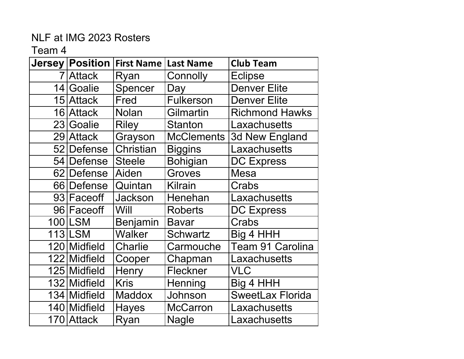| Jersey   Position | <b>First Name</b> | <b>Last Name</b>  | <b>Club Team</b>        |
|-------------------|-------------------|-------------------|-------------------------|
| 7 Attack          | Ryan              | Connolly          | <b>Eclipse</b>          |
| 14 Goalie         | Spencer           | Day               | <b>Denver Elite</b>     |
| 15 Attack         | Fred              | Fulkerson         | <b>Denver Elite</b>     |
| 16 Attack         | <b>Nolan</b>      | Gilmartin         | <b>Richmond Hawks</b>   |
| 23 Goalie         | <b>Riley</b>      | <b>Stanton</b>    | Laxachusetts            |
| 29 Attack         | Grayson           | <b>McClements</b> | 3d New England          |
| 52 Defense        | Christian         | <b>Biggins</b>    | Laxachusetts            |
| 54 Defense        | <b>Steele</b>     | <b>Bohigian</b>   | <b>DC Express</b>       |
| 62 Defense        | Aiden             | Groves            | <b>Mesa</b>             |
| 66 Defense        | Quintan           | <b>Kilrain</b>    | Crabs                   |
| 93 Face off       | <b>Jackson</b>    | Henehan           | Laxachusetts            |
| 96 Faceoff        | Will              | <b>Roberts</b>    | <b>DC Express</b>       |
| 100 LSM           | <b>Benjamin</b>   | <b>Bavar</b>      | Crabs                   |
| 113 LSM           | <b>Walker</b>     | <b>Schwartz</b>   | Big 4 HHH               |
| 120 Midfield      | Charlie           | Carmouche         | Team 91 Carolina        |
| 122 Midfield      | Cooper            | Chapman           | Laxachusetts            |
| 125 Midfield      | Henry             | Fleckner          | <b>VLC</b>              |
| 132 Midfield      | <b>Kris</b>       | Henning           | Big 4 HHH               |
| 134 Midfield      | <b>Maddox</b>     | Johnson           | <b>SweetLax Florida</b> |
| 140 Midfield      | <b>Hayes</b>      | <b>McCarron</b>   | Laxachusetts            |
| 170 Attack        | Ryan              | <b>Nagle</b>      | Laxachusetts            |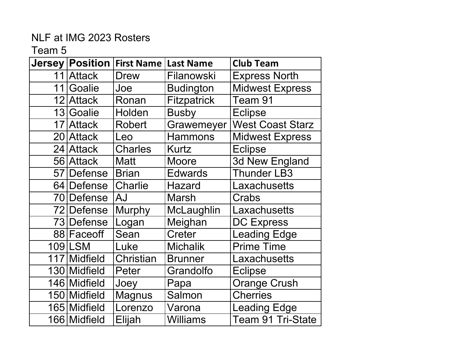|    |              | Jersey   Position   First Name | <b>Last Name</b>   | <b>Club Team</b>        |
|----|--------------|--------------------------------|--------------------|-------------------------|
|    | 11 Attack    | <b>Drew</b>                    | Filanowski         | <b>Express North</b>    |
| 11 | Goalie       | Joe                            | <b>Budington</b>   | <b>Midwest Express</b>  |
|    | 12 Attack    | Ronan                          | <b>Fitzpatrick</b> | Team 91                 |
|    | 13 Goalie    | Holden                         | <b>Busby</b>       | <b>Eclipse</b>          |
|    | 17 Attack    | <b>Robert</b>                  | Grawemeyer         | <b>West Coast Starz</b> |
|    | 20 Attack    | Leo                            | <b>Hammons</b>     | <b>Midwest Express</b>  |
|    | 24 Attack    | <b>Charles</b>                 | Kurtz              | <b>Eclipse</b>          |
|    | 56 Attack    | <b>Matt</b>                    | Moore              | 3d New England          |
|    | 57 Defense   | <b>Brian</b>                   | <b>Edwards</b>     | <b>Thunder LB3</b>      |
|    | 64 Defense   | Charlie                        | <b>Hazard</b>      | Laxachusetts            |
|    | 70 Defense   | <b>AJ</b>                      | <b>Marsh</b>       | Crabs                   |
|    | 72 Defense   | <b>Murphy</b>                  | McLaughlin         | Laxachusetts            |
|    | 73 Defense   | Logan                          | Meighan            | <b>DC Express</b>       |
|    | 88 Face off  | Sean                           | Creter             | <b>Leading Edge</b>     |
|    | 109 LSM      | Luke                           | <b>Michalik</b>    | <b>Prime Time</b>       |
|    | 117 Midfield | Christian                      | <b>Brunner</b>     | Laxachusetts            |
|    | 130 Midfield | Peter                          | Grandolfo          | <b>Eclipse</b>          |
|    | 146 Midfield | Joey                           | Papa               | <b>Orange Crush</b>     |
|    | 150 Midfield | <b>Magnus</b>                  | Salmon             | <b>Cherries</b>         |
|    | 165 Midfield | Lorenzo                        | Varona             | <b>Leading Edge</b>     |
|    | 166 Midfield | Elijah                         | <b>Williams</b>    | Team 91 Tri-State       |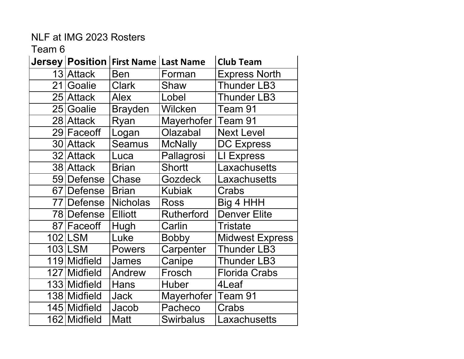|    |              | Jersey   Position   First Name   Last Name |                   | <b>Club Team</b>       |
|----|--------------|--------------------------------------------|-------------------|------------------------|
|    | 13 Attack    | <b>Ben</b>                                 | Forman            | <b>Express North</b>   |
| 21 | Goalie       | <b>Clark</b>                               | Shaw              | <b>Thunder LB3</b>     |
|    | 25 Attack    | <b>Alex</b>                                | Lobel             | <b>Thunder LB3</b>     |
|    | 25 Goalie    | <b>Brayden</b>                             | Wilcken           | Team 91                |
|    | 28 Attack    | Ryan                                       | Mayerhofer        | Team 91                |
|    | 29 Faceoff   | Logan                                      | Olazabal          | <b>Next Level</b>      |
|    | 30 Attack    | <b>Seamus</b>                              | <b>McNally</b>    | <b>DC Express</b>      |
|    | 32 Attack    | Luca                                       | Pallagrosi        | LI Express             |
|    | 38 Attack    | <b>Brian</b>                               | <b>Shortt</b>     | Laxachusetts           |
|    | 59 Defense   | Chase                                      | <b>Gozdeck</b>    | _axachusetts           |
|    | 67 Defense   | <b>Brian</b>                               | <b>Kubiak</b>     | Crabs                  |
|    | 77 Defense   | <b>Nicholas</b>                            | <b>Ross</b>       | Big 4 HHH              |
|    | 78 Defense   | <b>Elliott</b>                             | <b>Rutherford</b> | <b>Denver Elite</b>    |
|    | 87 Faceoff   | Hugh                                       | Carlin            | Tristate               |
|    | 102 LSM      | Luke                                       | <b>Bobby</b>      | <b>Midwest Express</b> |
|    | 103 LSM      | <b>Powers</b>                              | Carpenter         | <b>Thunder LB3</b>     |
|    | 119 Midfield | James                                      | Canipe            | Thunder LB3            |
|    | 127 Midfield | Andrew                                     | Frosch            | <b>Florida Crabs</b>   |
|    | 133 Midfield | Hans                                       | <b>Huber</b>      | 4Leaf                  |
|    | 138 Midfield | <b>Jack</b>                                | Mayerhofer        | Team 91                |
|    | 145 Midfield | Jacob                                      | Pacheco           | Crabs                  |
|    | 162 Midfield | <b>Matt</b>                                | <b>Swirbalus</b>  | Laxachusetts           |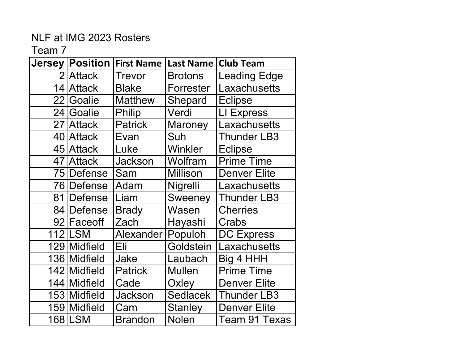| <b>Jersey</b> | <b>Position</b> | <b>First Name</b> | <b>Last Name</b> | <b>Club Team</b>    |
|---------------|-----------------|-------------------|------------------|---------------------|
|               | 2 Attack        | <b>Trevor</b>     | <b>Brotons</b>   | <b>Leading Edge</b> |
| 14            | <b>Attack</b>   | <b>Blake</b>      | Forrester        | Laxachusetts        |
| 22            | Goalie          | <b>Matthew</b>    | Shepard          | <b>Eclipse</b>      |
|               | 24 Goalie       | <b>Philip</b>     | Verdi            | LI Express          |
|               | 27 Attack       | <b>Patrick</b>    | <b>Maroney</b>   | Laxachusetts        |
|               | 40 Attack       | Evan              | Suh              | <b>Thunder LB3</b>  |
|               | 45 Attack       | Luke              | Winkler          | <b>Eclipse</b>      |
|               | 47 Attack       | <b>Jackson</b>    | Wolfram          | <b>Prime Time</b>   |
|               | 75 Defense      | Sam               | <b>Millison</b>  | <b>Denver Elite</b> |
|               | 76 Defense      | Adam              | Nigrelli         | Laxachusetts        |
| 81            | Defense         | Liam              | <b>Sweeney</b>   | <b>Thunder LB3</b>  |
| 841           | <b>Defense</b>  | <b>Brady</b>      | Wasen            | <b>Cherries</b>     |
|               | 92 Faceoff      | Zach              | Hayashi          | Crabs               |
|               | <b>112 LSM</b>  | Alexander         | Populoh          | <b>DC Express</b>   |
|               | 129 Midfield    | Eli               | Goldstein        | Laxachusetts        |
|               | 136 Midfield    | Jake              | Laubach          | Big 4 HHH           |
|               | 142 Midfield    | <b>Patrick</b>    | <b>Mullen</b>    | <b>Prime Time</b>   |
|               | 144 Midfield    | Cade              | Oxley            | <b>Denver Elite</b> |
|               | 153 Midfield    | <b>Jackson</b>    | <b>Sedlacek</b>  | <b>Thunder LB3</b>  |
|               | 159 Midfield    | Cam               | <b>Stanley</b>   | <b>Denver Elite</b> |
|               | 168 LSM         | <b>Brandon</b>    | <b>Nolen</b>     | Team 91 Texas       |